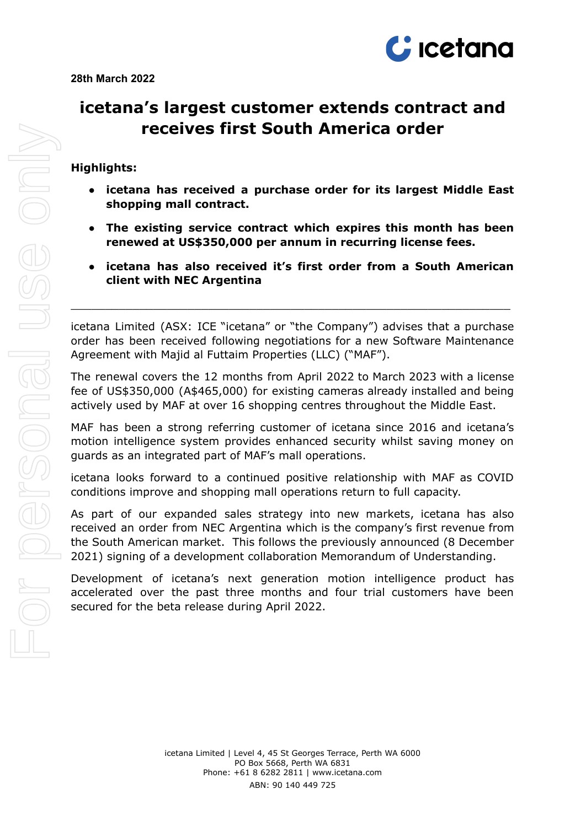

# **icetana's largest customer extends contract and receives first South America order**

## **Highlights:**

- **● icetana has received a purchase order for its largest Middle East shopping mall contract.**
- **● The existing service contract which expires this month has been renewed at US\$350,000 per annum in recurring license fees.**
- **● icetana has also received it's first order from a South American client with NEC Argentina**

icetana Limited (ASX: ICE "icetana" or "the Company") advises that a purchase order has been received following negotiations for a new Software Maintenance Agreement with Majid al Futtaim Properties (LLC) ("MAF").

 $\_$  , and the contribution of the contribution of  $\mathcal{L}_\mathcal{A}$  , and the contribution of  $\mathcal{L}_\mathcal{A}$ 

The renewal covers the 12 months from April 2022 to March 2023 with a license fee of US\$350,000 (A\$465,000) for existing cameras already installed and being actively used by MAF at over 16 shopping centres throughout the Middle East.

MAF has been a strong referring customer of icetana since 2016 and icetana's motion intelligence system provides enhanced security whilst saving money on guards as an integrated part of MAF's mall operations.

icetana looks forward to a continued positive relationship with MAF as COVID conditions improve and shopping mall operations return to full capacity.

As part of our expanded sales strategy into new markets, icetana has also received an order from NEC Argentina which is the company's first revenue from the South American market. This follows the previously announced (8 December 2021) signing of a development collaboration Memorandum of Understanding.

Development of icetana's next generation motion intelligence product has accelerated over the past three months and four trial customers have been secured for the beta release during April 2022.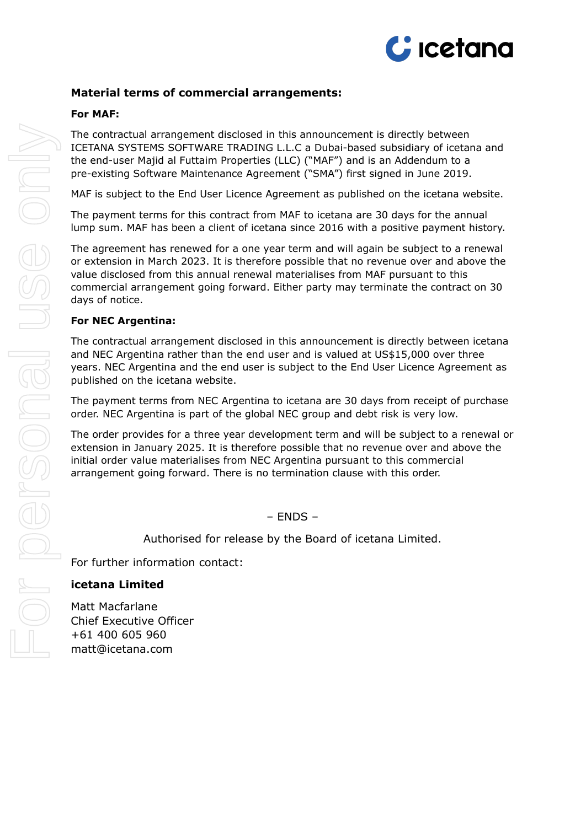

## **Material terms of commercial arrangements:**

#### **For MAF:**

The contractual arrangement disclosed in this announcement is directly between ICETANA SYSTEMS SOFTWARE TRADING L.L.C a Dubai-based subsidiary of icetana and the end-user Majid al Futtaim Properties (LLC) ("MAF") and is an Addendum to a pre-existing Software Maintenance Agreement ("SMA") first signed in June 2019.

MAF is subject to the End User Licence Agreement as published on the icetana website.

The payment terms for this contract from MAF to icetana are 30 days for the annual lump sum. MAF has been a client of icetana since 2016 with a positive payment history.

The agreement has renewed for a one year term and will again be subject to a renewal or extension in March 2023. It is therefore possible that no revenue over and above the value disclosed from this annual renewal materialises from MAF pursuant to this commercial arrangement going forward. Either party may terminate the contract on 30 days of notice.

#### **For NEC Argentina:**

The contractual arrangement disclosed in this announcement is directly between icetana and NEC Argentina rather than the end user and is valued at US\$15,000 over three years. NEC Argentina and the end user is subject to the End User Licence Agreement as published on the icetana website.

The payment terms from NEC Argentina to icetana are 30 days from receipt of purchase order. NEC Argentina is part of the global NEC group and debt risk is very low.

The order provides for a three year development term and will be subject to a renewal or extension in January 2025. It is therefore possible that no revenue over and above the initial order value materialises from NEC Argentina pursuant to this commercial arrangement going forward. There is no termination clause with this order.

– ENDS –

Authorised for release by the Board of icetana Limited.

For further information contact:

#### **icetana Limited**

Matt Macfarlane Chief Executive Officer +61 400 605 960 matt@icetana.com